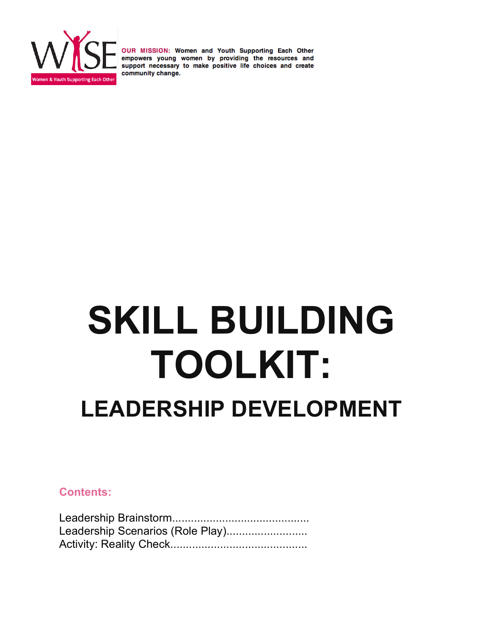

# **SKILL BUILDING TOOLKIT: LEADERSHIP DEVELOPMENT**

### **Contents:**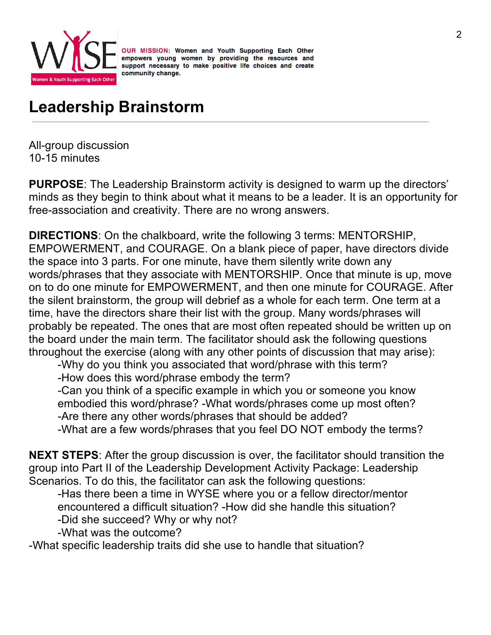

# **Leadership Brainstorm**

All-group discussion 10-15 minutes

**PURPOSE**: The Leadership Brainstorm activity is designed to warm up the directors' minds as they begin to think about what it means to be a leader. It is an opportunity for free-association and creativity. There are no wrong answers.

**DIRECTIONS**: On the chalkboard, write the following 3 terms: MENTORSHIP, EMPOWERMENT, and COURAGE. On a blank piece of paper, have directors divide the space into 3 parts. For one minute, have them silently write down any words/phrases that they associate with MENTORSHIP. Once that minute is up, move on to do one minute for EMPOWERMENT, and then one minute for COURAGE. After the silent brainstorm, the group will debrief as a whole for each term. One term at a time, have the directors share their list with the group. Many words/phrases will probably be repeated. The ones that are most often repeated should be written up on the board under the main term. The facilitator should ask the following questions throughout the exercise (along with any other points of discussion that may arise):

-Why do you think you associated that word/phrase with this term? -How does this word/phrase embody the term?

-Can you think of a specific example in which you or someone you know embodied this word/phrase? -What words/phrases come up most often? -Are there any other words/phrases that should be added?

-What are a few words/phrases that you feel DO NOT embody the terms?

**NEXT STEPS**: After the group discussion is over, the facilitator should transition the group into Part II of the Leadership Development Activity Package: Leadership Scenarios. To do this, the facilitator can ask the following questions:

-Has there been a time in WYSE where you or a fellow director/mentor encountered a difficult situation? -How did she handle this situation? -Did she succeed? Why or why not?

-What was the outcome?

-What specific leadership traits did she use to handle that situation?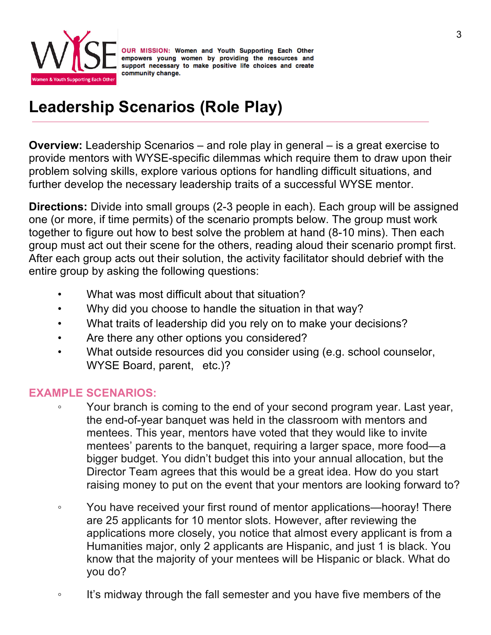

## **Leadership Scenarios (Role Play)**

**Overview:** Leadership Scenarios – and role play in general – is a great exercise to provide mentors with WYSE-specific dilemmas which require them to draw upon their problem solving skills, explore various options for handling difficult situations, and further develop the necessary leadership traits of a successful WYSE mentor.

**Directions:** Divide into small groups (2-3 people in each). Each group will be assigned one (or more, if time permits) of the scenario prompts below. The group must work together to figure out how to best solve the problem at hand (8-10 mins). Then each group must act out their scene for the others, reading aloud their scenario prompt first. After each group acts out their solution, the activity facilitator should debrief with the entire group by asking the following questions:

- What was most difficult about that situation?
- Why did you choose to handle the situation in that way?
- What traits of leadership did you rely on to make your decisions?
- Are there any other options you considered?
- What outside resources did you consider using (e.g. school counselor, WYSE Board, parent, etc.)?

## **EXAMPLE SCENARIOS:**

- Your branch is coming to the end of your second program year. Last year, the end-of-year banquet was held in the classroom with mentors and mentees. This year, mentors have voted that they would like to invite mentees' parents to the banquet, requiring a larger space, more food—a bigger budget. You didn't budget this into your annual allocation, but the Director Team agrees that this would be a great idea. How do you start raising money to put on the event that your mentors are looking forward to?
- You have received your first round of mentor applications—hooray! There are 25 applicants for 10 mentor slots. However, after reviewing the applications more closely, you notice that almost every applicant is from a Humanities major, only 2 applicants are Hispanic, and just 1 is black. You know that the majority of your mentees will be Hispanic or black. What do you do?
- It's midway through the fall semester and you have five members of the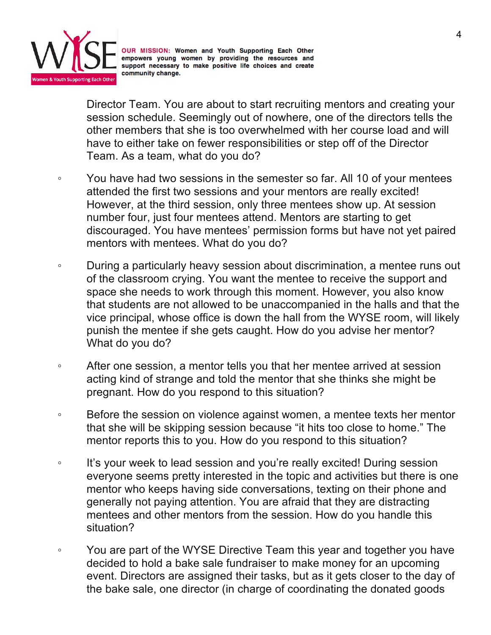

Director Team. You are about to start recruiting mentors and creating your session schedule. Seemingly out of nowhere, one of the directors tells the other members that she is too overwhelmed with her course load and will have to either take on fewer responsibilities or step off of the Director Team. As a team, what do you do?

- You have had two sessions in the semester so far. All 10 of your mentees attended the first two sessions and your mentors are really excited! However, at the third session, only three mentees show up. At session number four, just four mentees attend. Mentors are starting to get discouraged. You have mentees' permission forms but have not yet paired mentors with mentees. What do you do?
- During a particularly heavy session about discrimination, a mentee runs out of the classroom crying. You want the mentee to receive the support and space she needs to work through this moment. However, you also know that students are not allowed to be unaccompanied in the halls and that the vice principal, whose office is down the hall from the WYSE room, will likely punish the mentee if she gets caught. How do you advise her mentor? What do you do?
- After one session, a mentor tells you that her mentee arrived at session acting kind of strange and told the mentor that she thinks she might be pregnant. How do you respond to this situation?
- Before the session on violence against women, a mentee texts her mentor that she will be skipping session because "it hits too close to home." The mentor reports this to you. How do you respond to this situation?
- It's your week to lead session and you're really excited! During session everyone seems pretty interested in the topic and activities but there is one mentor who keeps having side conversations, texting on their phone and generally not paying attention. You are afraid that they are distracting mentees and other mentors from the session. How do you handle this situation?
- You are part of the WYSE Directive Team this year and together you have decided to hold a bake sale fundraiser to make money for an upcoming event. Directors are assigned their tasks, but as it gets closer to the day of the bake sale, one director (in charge of coordinating the donated goods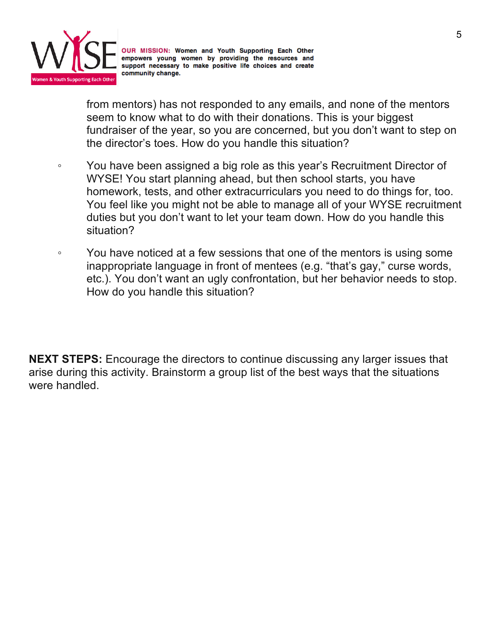

from mentors) has not responded to any emails, and none of the mentors seem to know what to do with their donations. This is your biggest fundraiser of the year, so you are concerned, but you don't want to step on the director's toes. How do you handle this situation?

- You have been assigned a big role as this year's Recruitment Director of WYSE! You start planning ahead, but then school starts, you have homework, tests, and other extracurriculars you need to do things for, too. You feel like you might not be able to manage all of your WYSE recruitment duties but you don't want to let your team down. How do you handle this situation?
- You have noticed at a few sessions that one of the mentors is using some inappropriate language in front of mentees (e.g. "that's gay," curse words, etc.). You don't want an ugly confrontation, but her behavior needs to stop. How do you handle this situation?

**NEXT STEPS:** Encourage the directors to continue discussing any larger issues that arise during this activity. Brainstorm a group list of the best ways that the situations were handled.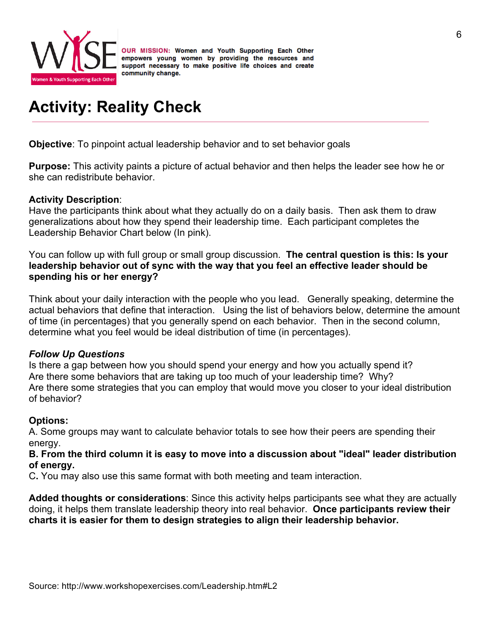

## **Activity: Reality Check**

**Objective**: To pinpoint actual leadership behavior and to set behavior goals

**Purpose:** This activity paints a picture of actual behavior and then helps the leader see how he or she can redistribute behavior.

#### **Activity Description**:

Have the participants think about what they actually do on a daily basis. Then ask them to draw generalizations about how they spend their leadership time. Each participant completes the Leadership Behavior Chart below (In pink).

You can follow up with full group or small group discussion. **The central question is this: Is your leadership behavior out of sync with the way that you feel an effective leader should be spending his or her energy?**

Think about your daily interaction with the people who you lead. Generally speaking, determine the actual behaviors that define that interaction. Using the list of behaviors below, determine the amount of time (in percentages) that you generally spend on each behavior. Then in the second column, determine what you feel would be ideal distribution of time (in percentages).

#### *Follow Up Questions*

Is there a gap between how you should spend your energy and how you actually spend it? Are there some behaviors that are taking up too much of your leadership time? Why? Are there some strategies that you can employ that would move you closer to your ideal distribution of behavior?

#### **Options:**

A. Some groups may want to calculate behavior totals to see how their peers are spending their energy.

#### **B. From the third column it is easy to move into a discussion about "ideal" leader distribution of energy.**

C**.** You may also use this same format with both meeting and team interaction.

**Added thoughts or considerations**: Since this activity helps participants see what they are actually doing, it helps them translate leadership theory into real behavior. **Once participants review their charts it is easier for them to design strategies to align their leadership behavior.**